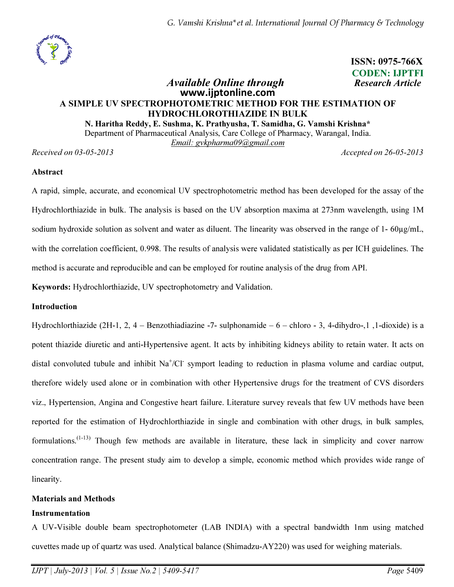

 ISSN: 0975-766X CODEN: IJPTFI Available Online through Research Article

# www.ijptonline.com A SIMPLE UV SPECTROPHOTOMETRIC METHOD FOR THE ESTIMATION OF HYDROCHLOROTHIAZIDE IN BULK

N. Haritha Reddy, E. Sushma, K. Prathyusha, T. Samidha, G. Vamshi Krishna\*

Department of Pharmaceutical Analysis, Care College of Pharmacy, Warangal, India.

*Email: gvkpharma09@gmail.com*

*Received on 03-05-2013 Accepted on 26-05-2013*

### Abstract

A rapid, simple, accurate, and economical UV spectrophotometric method has been developed for the assay of the Hydrochlorthiazide in bulk. The analysis is based on the UV absorption maxima at 273nm wavelength, using 1M sodium hydroxide solution as solvent and water as diluent. The linearity was observed in the range of 1-60µg/mL, with the correlation coefficient, 0.998. The results of analysis were validated statistically as per ICH guidelines. The method is accurate and reproducible and can be employed for routine analysis of the drug from API.

Keywords: Hydrochlorthiazide, UV spectrophotometry and Validation.

## Introduction

Hydrochlorthiazide (2H-1, 2, 4 – Benzothiadiazine -7- sulphonamide – 6 – chloro - 3, 4-dihydro-,1 ,1-dioxide) is a potent thiazide diuretic and anti-Hypertensive agent. It acts by inhibiting kidneys ability to retain water. It acts on distal convoluted tubule and inhibit  $Na<sup>+</sup>/Cl<sup>-</sup>$  symport leading to reduction in plasma volume and cardiac output, therefore widely used alone or in combination with other Hypertensive drugs for the treatment of CVS disorders viz., Hypertension, Angina and Congestive heart failure. Literature survey reveals that few UV methods have been reported for the estimation of Hydrochlorthiazide in single and combination with other drugs, in bulk samples, formulations.<sup> $(1-13)$ </sup> Though few methods are available in literature, these lack in simplicity and cover narrow concentration range. The present study aim to develop a simple, economic method which provides wide range of linearity.

## Materials and Methods

### Instrumentation

A UV-Visible double beam spectrophotometer (LAB INDIA) with a spectral bandwidth 1nm using matched cuvettes made up of quartz was used. Analytical balance (Shimadzu-AY220) was used for weighing materials.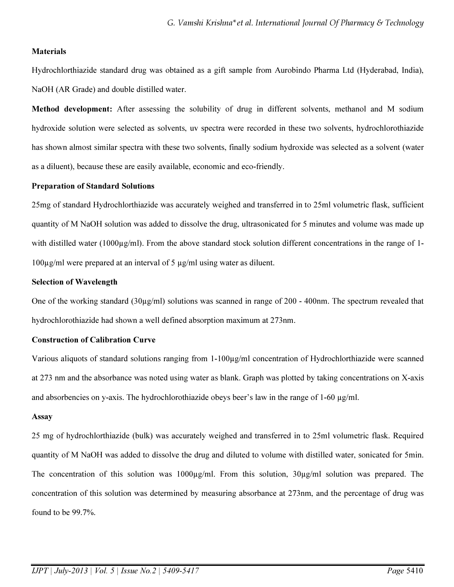### **Materials**

Hydrochlorthiazide standard drug was obtained as a gift sample from Aurobindo Pharma Ltd (Hyderabad, India), NaOH (AR Grade) and double distilled water.

Method development: After assessing the solubility of drug in different solvents, methanol and M sodium hydroxide solution were selected as solvents, uv spectra were recorded in these two solvents, hydrochlorothiazide has shown almost similar spectra with these two solvents, finally sodium hydroxide was selected as a solvent (water as a diluent), because these are easily available, economic and eco-friendly.

# Preparation of Standard Solutions

25mg of standard Hydrochlorthiazide was accurately weighed and transferred in to 25ml volumetric flask, sufficient quantity of M NaOH solution was added to dissolve the drug, ultrasonicated for 5 minutes and volume was made up with distilled water (1000µg/ml). From the above standard stock solution different concentrations in the range of 1- 100µg/ml were prepared at an interval of 5 µg/ml using water as diluent.

# Selection of Wavelength

One of the working standard (30 $\mu$ g/ml) solutions was scanned in range of 200 - 400nm. The spectrum revealed that hydrochlorothiazide had shown a well defined absorption maximum at 273nm.

## Construction of Calibration Curve

Various aliquots of standard solutions ranging from 1-100µg/ml concentration of Hydrochlorthiazide were scanned at 273 nm and the absorbance was noted using water as blank. Graph was plotted by taking concentrations on X-axis and absorbencies on y-axis. The hydrochlorothiazide obeys been's law in the range of 1-60  $\mu g/ml$ .

## Assay

25 mg of hydrochlorthiazide (bulk) was accurately weighed and transferred in to 25ml volumetric flask. Required quantity of M NaOH was added to dissolve the drug and diluted to volume with distilled water, sonicated for 5min. The concentration of this solution was  $1000\mu\text{g/ml}$ . From this solution,  $30\mu\text{g/ml}$  solution was prepared. The concentration of this solution was determined by measuring absorbance at 273nm, and the percentage of drug was found to be 99.7%.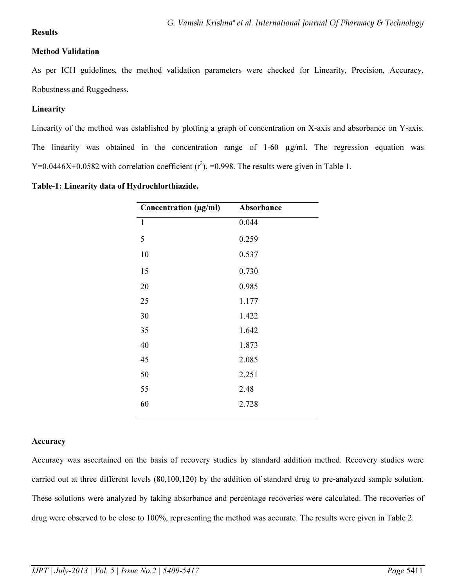# Results

# Method Validation

As per ICH guidelines, the method validation parameters were checked for Linearity, Precision, Accuracy, Robustness and Ruggedness.

# Linearity

Linearity of the method was established by plotting a graph of concentration on X-axis and absorbance on Y-axis. The linearity was obtained in the concentration range of 1-60  $\mu$ g/ml. The regression equation was Y=0.0446X+0.0582 with correlation coefficient  $(r^2)$ , =0.998. The results were given in Table 1.

| Concentration (µg/ml) | Absorbance |
|-----------------------|------------|
| $\mathbf{1}$          | 0.044      |
| 5                     | 0.259      |
| 10                    | 0.537      |
| 15                    | 0.730      |
| 20                    | 0.985      |
| 25                    | 1.177      |
| 30                    | 1.422      |
| 35                    | 1.642      |
| 40                    | 1.873      |
| 45                    | 2.085      |
| 50                    | 2.251      |
| 55                    | 2.48       |
| 60                    | 2.728      |
|                       |            |

Table-1: Linearity data of Hydrochlorthiazide.

# **Accuracy**

Accuracy was ascertained on the basis of recovery studies by standard addition method. Recovery studies were carried out at three different levels (80,100,120) by the addition of standard drug to pre-analyzed sample solution. These solutions were analyzed by taking absorbance and percentage recoveries were calculated. The recoveries of drug were observed to be close to 100%, representing the method was accurate. The results were given in Table 2.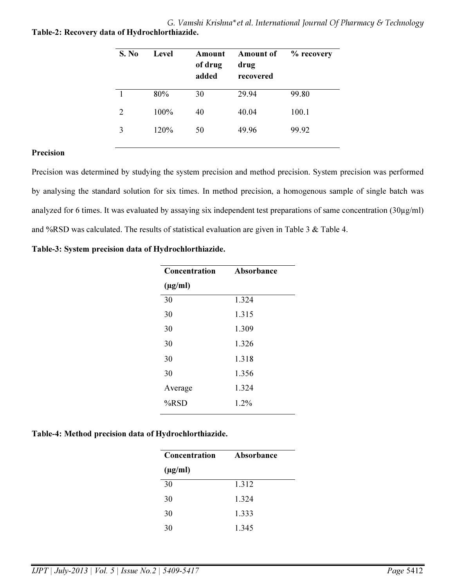G. Vamshi Krishna\*et al. International Journal Of Pharmacy & Technology Table-2: Recovery data of Hydrochlorthiazide.

| S. No | Level | Amount<br>of drug<br>added | <b>Amount of</b><br>drug<br>recovered | % recovery |
|-------|-------|----------------------------|---------------------------------------|------------|
|       | 80%   | 30                         | 29.94                                 | 99.80      |
| 2     | 100%  | 40                         | 40.04                                 | 100.1      |
| 3     | 120%  | 50                         | 49.96                                 | 99.92      |

### Precision

Precision was determined by studying the system precision and method precision. System precision was performed by analysing the standard solution for six times. In method precision, a homogenous sample of single batch was analyzed for 6 times. It was evaluated by assaying six independent test preparations of same concentration (30µg/ml) and %RSD was calculated. The results of statistical evaluation are given in Table 3 & Table 4.

Table-3: System precision data of Hydrochlorthiazide.

| <b>Concentration</b> | Absorbance |
|----------------------|------------|
| $(\mu g/ml)$         |            |
| 30                   | 1.324      |
| 30                   | 1.315      |
| 30                   | 1.309      |
| 30                   | 1.326      |
| 30                   | 1.318      |
| 30                   | 1.356      |
| Average              | 1.324      |
| $%$ RSD              | $1.2\%$    |
|                      |            |

### Table-4: Method precision data of Hydrochlorthiazide.

| <b>Concentration</b> | Absorbance |  |
|----------------------|------------|--|
| $(\mu g/ml)$         |            |  |
| 30                   | 1.312      |  |
| 30                   | 1.324      |  |
| 30                   | 1.333      |  |
| 30                   | 1.345      |  |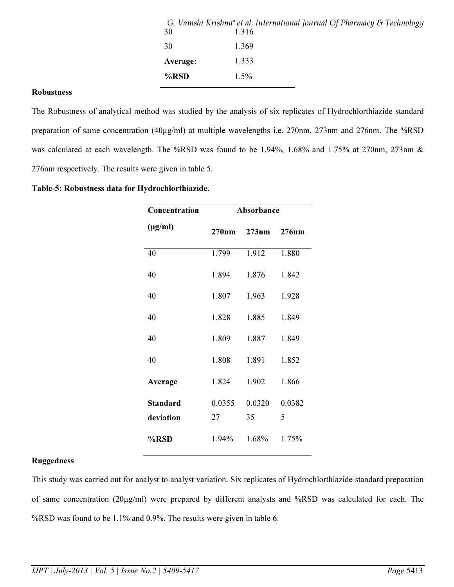| 30       | G. Vamshi Krishna*et al. International Journal Of Pharmacy & Technology<br>1.316 |
|----------|----------------------------------------------------------------------------------|
| 30       | 1.369                                                                            |
| Average: | 1.333                                                                            |
| %RSD     | $1.5\%$                                                                          |
|          |                                                                                  |

#### Robustness

The Robustness of analytical method was studied by the analysis of six replicates of Hydrochlorthiazide standard preparation of same concentration (40µg/ml) at multiple wavelengths i.e. 270nm, 273nm and 276nm. The %RSD was calculated at each wavelength. The %RSD was found to be 1.94%, 1.68% and 1.75% at 270nm, 273nm & 276nm respectively. The results were given in table 5.

#### Table-5: Robustness data for Hydrochlorthiazide.

| Concentration   | Absorbance |        |        |
|-----------------|------------|--------|--------|
| $(\mu g/ml)$    | 270nm      | 273nm  | 276nm  |
| 40              | 1.799      | 1.912  | 1.880  |
| 40              | 1.894      | 1.876  | 1.842  |
| 40              | 1.807      | 1.963  | 1.928  |
| 40              | 1.828      | 1.885  | 1.849  |
| 40              | 1.809      | 1.887  | 1.849  |
| 40              | 1.808      | 1.891  | 1.852  |
| Average         | 1.824      | 1.902  | 1.866  |
| <b>Standard</b> | 0.0355     | 0.0320 | 0.0382 |
| deviation       | 27         | 35     | 5      |
| %RSD            | $1.94\%$   | 1.68%  | 1.75%  |

## Ruggedness

This study was carried out for analyst to analyst variation. Six replicates of Hydrochlorthiazide standard preparation of same concentration (20µg/ml) were prepared by different analysts and %RSD was calculated for each. The %RSD was found to be 1.1% and 0.9%. The results were given in table 6.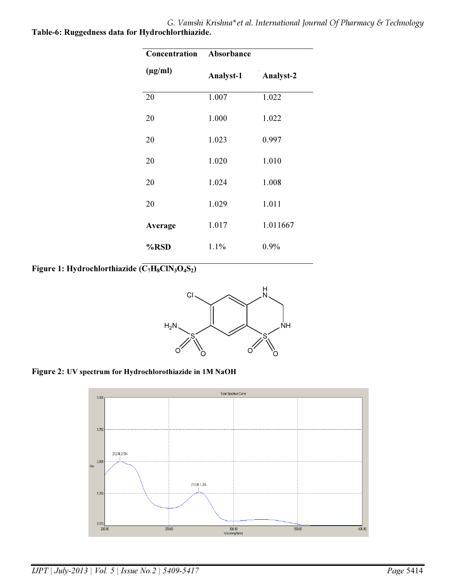G. Vamshi Krishna\*et al. International Journal Of Pharmacy & Technology Table-6: Ruggedness data for Hydrochlorthiazide.

| Concentration | Absorbance       |           |  |
|---------------|------------------|-----------|--|
| $(\mu g/ml)$  | <b>Analyst-1</b> | Analyst-2 |  |
| 20            | 1.007            | 1.022     |  |
| 20            | 1.000            | 1.022     |  |
| 20            | 1.023            | 0.997     |  |
| 20            | 1.020            | 1.010     |  |
| 20            | 1.024            | 1.008     |  |
| 20            | 1.029            | 1.011     |  |
| Average       | 1.017            | 1.011667  |  |
| %RSD          | 1.1%             | 0.9%      |  |

Figure 1: Hydrochlorthiazide  $(\overline{C_7H_8CIN_3O_4S_2})$ 



Figure 2: UV spectrum for Hydrochlorothiazide in 1M NaOH

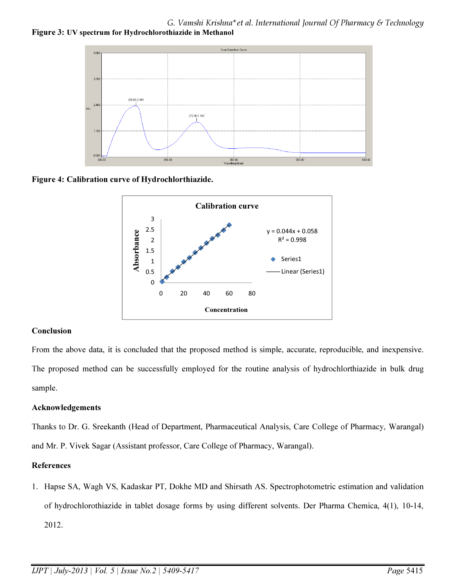G. Vamshi Krishna\*et al. International Journal Of Pharmacy & Technology Figure 3: UV spectrum for Hydrochlorothiazide in Methanol



Figure 4: Calibration curve of Hydrochlorthiazide.



## Conclusion

From the above data, it is concluded that the proposed method is simple, accurate, reproducible, and inexpensive. The proposed method can be successfully employed for the routine analysis of hydrochlorthiazide in bulk drug sample.

## Acknowledgements

Thanks to Dr. G. Sreekanth (Head of Department, Pharmaceutical Analysis, Care College of Pharmacy, Warangal) and Mr. P. Vivek Sagar (Assistant professor, Care College of Pharmacy, Warangal).

## References

1. Hapse SA, Wagh VS, Kadaskar PT, Dokhe MD and Shirsath AS. Spectrophotometric estimation and validation of hydrochlorothiazide in tablet dosage forms by using different solvents. Der Pharma Chemica, 4(1), 10-14, 2012.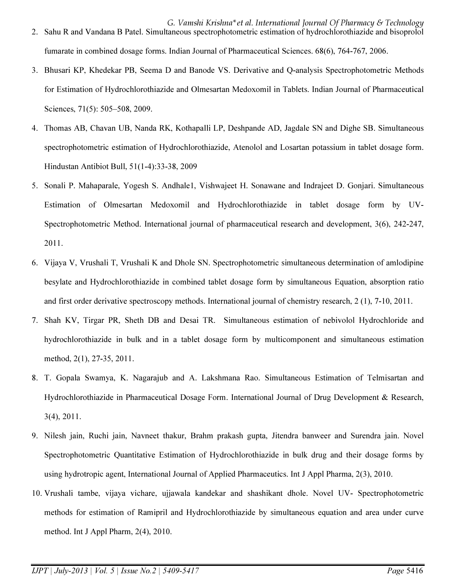- G. Vamshi Krishna\*et al. International Journal Of Pharmacy & Technology 2. Sahu R and Vandana B Patel. Simultaneous spectrophotometric estimation of hydrochlorothiazide and bisoprolol fumarate in combined dosage forms. Indian Journal of Pharmaceutical Sciences. 68(6), 764-767, 2006.
- 3. Bhusari KP, Khedekar PB, Seema D and Banode VS. Derivative and Q-analysis Spectrophotometric Methods for Estimation of Hydrochlorothiazide and Olmesartan Medoxomil in Tablets. Indian Journal of Pharmaceutical Sciences, 71(5): 505–508, 2009.
- 4. Thomas AB, Chavan UB, Nanda RK, Kothapalli LP, Deshpande AD, Jagdale SN and Dighe SB. Simultaneous spectrophotometric estimation of Hydrochlorothiazide, Atenolol and Losartan potassium in tablet dosage form. Hindustan Antibiot Bull, 51(1-4):33-38, 2009
- 5. Sonali P. Mahaparale, Yogesh S. Andhale1, Vishwajeet H. Sonawane and Indrajeet D. Gonjari. Simultaneous Estimation of Olmesartan Medoxomil and Hydrochlorothiazide in tablet dosage form by UV-Spectrophotometric Method. International journal of pharmaceutical research and development, 3(6), 242-247, 2011.
- 6. Vijaya V, Vrushali T, Vrushali K and Dhole SN. Spectrophotometric simultaneous determination of amlodipine besylate and Hydrochlorothiazide in combined tablet dosage form by simultaneous Equation, absorption ratio and first order derivative spectroscopy methods. International journal of chemistry research, 2 (1), 7-10, 2011.
- 7. Shah KV, Tirgar PR, Sheth DB and Desai TR. Simultaneous estimation of nebivolol Hydrochloride and hydrochlorothiazide in bulk and in a tablet dosage form by multicomponent and simultaneous estimation method, 2(1), 27-35, 2011.
- 8. T. Gopala Swamya, K. Nagarajub and A. Lakshmana Rao. Simultaneous Estimation of Telmisartan and Hydrochlorothiazide in Pharmaceutical Dosage Form. International Journal of Drug Development & Research, 3(4), 2011.
- 9. Nilesh jain, Ruchi jain, Navneet thakur, Brahm prakash gupta, Jitendra banweer and Surendra jain. Novel Spectrophotometric Quantitative Estimation of Hydrochlorothiazide in bulk drug and their dosage forms by using hydrotropic agent, International Journal of Applied Pharmaceutics. Int J Appl Pharma, 2(3), 2010.
- 10. Vrushali tambe, vijaya vichare, ujjawala kandekar and shashikant dhole. Novel UV- Spectrophotometric methods for estimation of Ramipril and Hydrochlorothiazide by simultaneous equation and area under curve method. Int J Appl Pharm, 2(4), 2010.